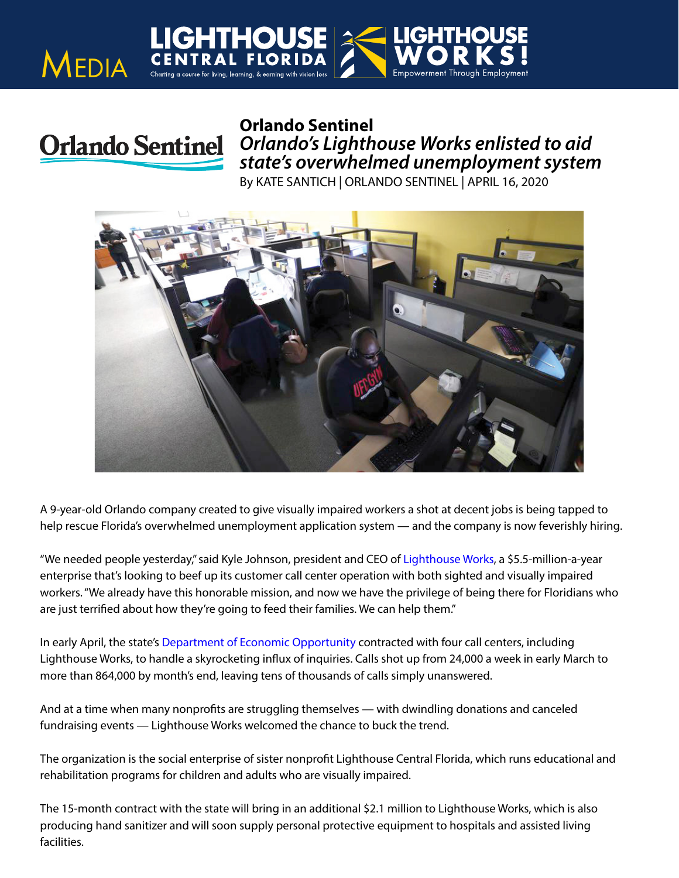

**MEDIA** 

*Orlando's Lighthouse Works enlisted to aid state's overwhelmed unemployment system*

By KATE SANTICH | ORLANDO SENTINEL | APRIL 16, 2020



A 9-year-old Orlando company created to give visually impaired workers a shot at decent jobs is being tapped to help rescue Florida's overwhelmed unemployment application system — and the company is now feverishly hiring.

"We needed people yesterday," said Kyle Johnson, president and CEO of [Lighthouse Works,](https://lighthouseworks.org/) a \$5.5-million-a-year enterprise that's looking to beef up its customer call center operation with both sighted and visually impaired workers. "We already have this honorable mission, and now we have the privilege of being there for Floridians who are just terrified about how they're going to feed their families. We can help them."

In early April, the state's [Department of Economic Opportunity](https://www.bizjournals.com/profile/company/org_ch_dc08755a5659e22a2531f16674897ec9) contracted with four call centers, including Lighthouse Works, to handle a skyrocketing influx of inquiries. Calls shot up from 24,000 a week in early March to more than 864,000 by month's end, leaving tens of thousands of calls simply unanswered.

And at a time when many nonprofits are struggling themselves — with dwindling donations and canceled fundraising events — Lighthouse Works welcomed the chance to buck the trend.

The organization is the social enterprise of sister nonprofit Lighthouse Central Florida, which runs educational and rehabilitation programs for children and adults who are visually impaired.

The 15-month contract with the state will bring in an additional \$2.1 million to Lighthouse Works, which is also producing hand sanitizer and will soon supply personal protective equipment to hospitals and assisted living facilities.